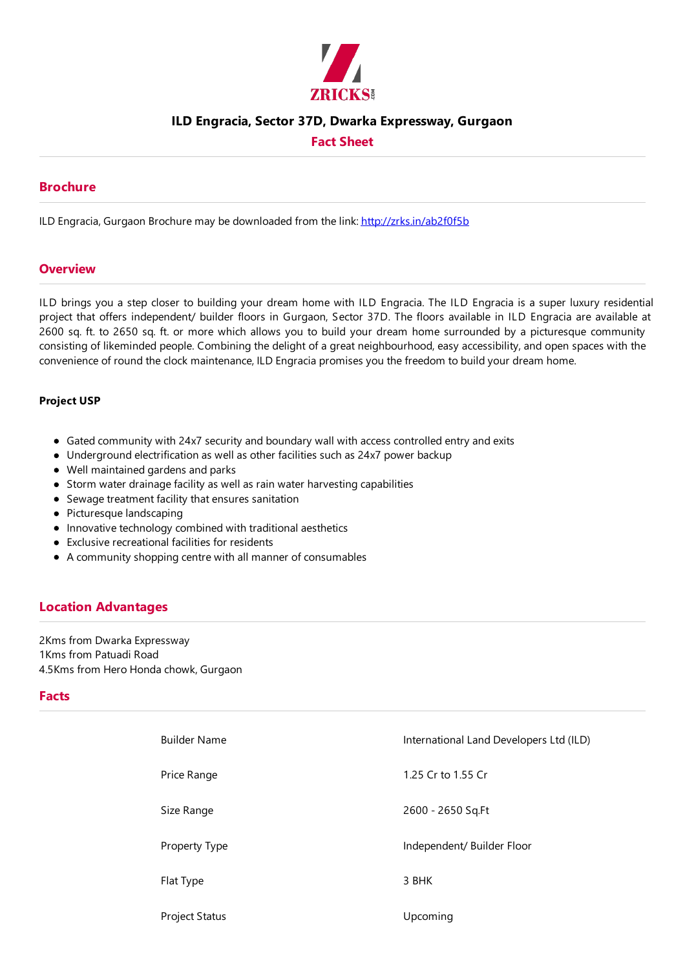

## **ILD Engracia, Sector 37D, Dwarka Expressway, Gurgaon**

## **Fact Sheet**

### **Brochure**

ILD Engracia, Gurgaon Brochure may be downloaded from the link: http://zrks.in/ab2f0f5b

#### **Overview**

ILD brings you a step closer to building your dream home with ILD Engracia. The ILD Engracia is a super luxury residential project that offers independent/ builder floors in Gurgaon, Sector 37D. The floors available in ILD Engracia are available at 2600 sq. ft. to 2650 sq. ft. or more which allows you to build your dream home surrounded by a picturesque community consisting of likeminded people. Combining the delight of a great neighbourhood,easy accessibility, and open spaces with the convenience of round the clock maintenance, ILD Engracia promises you the freedom to build your dream home.

#### **Project USP**

- Gated community with 24x7 security and boundary wall with access controlled entry and exits
- Underground electrification as well as other facilities such as 24x7 power backup
- Well maintained gardens and parks
- Storm water drainage facility as well as rain water harvesting capabilities
- $\bullet$  Sewage treatment facility that ensures sanitation
- $\bullet$  Picturesque landscaping
- $\bullet$  Innovative technology combined with traditional aesthetics
- $\bullet$  Exclusive recreational facilities for residents
- A community shopping centre with all manner of consumables

## **Location Advantages**

2Kms from Dwarka Expressway 1Kms from Patuadi Road 4.5Kms from Hero Honda chowk, Gurgaon

#### **Facts**

| <b>Builder Name</b>   | International Land Developers Ltd (ILD) |
|-----------------------|-----------------------------------------|
| Price Range           | 1.25 Cr to 1.55 Cr                      |
| Size Range            | 2600 - 2650 Sq.Ft                       |
| Property Type         | Independent/ Builder Floor              |
| Flat Type             | 3 BHK                                   |
| <b>Project Status</b> | Upcoming                                |